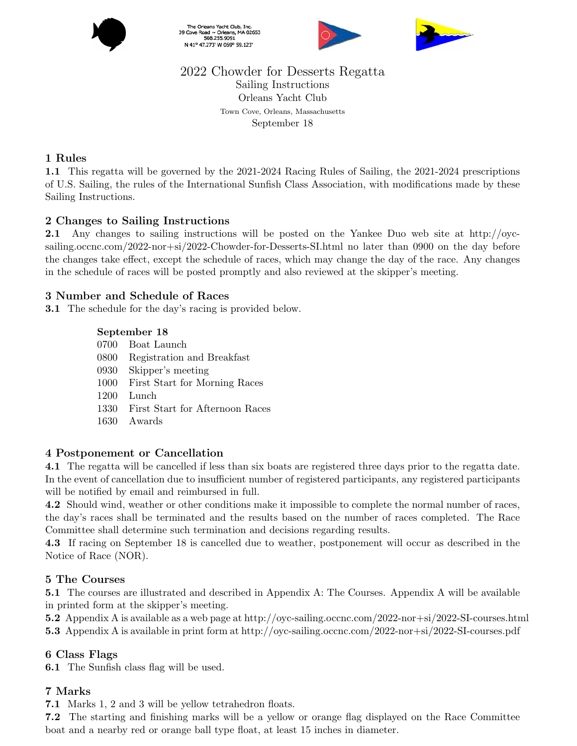

The Orleans Yacht Club, Inc.<br>39 Cove Road ~ Orleans, MA 02653<br>508.255.9091 N 41° 47.273' W 069° 59.123'





# 2022 Chowder for Desserts Regatta Sailing Instructions Orleans Yacht Club Town Cove, Orleans, Massachusetts September 18

#### 1 Rules

1.1 This regatta will be governed by the 2021-2024 Racing Rules of Sailing, the 2021-2024 prescriptions of U.S. Sailing, the rules of the International Sunfish Class Association, with modifications made by these Sailing Instructions.

#### 2 Changes to Sailing Instructions

2.1 Any changes to sailing instructions will be posted on the Yankee Duo web site at http://oycsailing.occnc.com/2022-nor+si/2022-Chowder-for-Desserts-SI.html no later than 0900 on the day before the changes take effect, except the schedule of races, which may change the day of the race. Any changes in the schedule of races will be posted promptly and also reviewed at the skipper's meeting.

#### 3 Number and Schedule of Races

3.1 The schedule for the day's racing is provided below.

#### September 18

- 0700 Boat Launch
- 0800 Registration and Breakfast
- 0930 Skipper's meeting
- 1000 First Start for Morning Races
- 1200 Lunch
- 1330 First Start for Afternoon Races
- 1630 Awards

#### 4 Postponement or Cancellation

4.1 The regatta will be cancelled if less than six boats are registered three days prior to the regatta date. In the event of cancellation due to insufficient number of registered participants, any registered participants will be notified by email and reimbursed in full.

4.2 Should wind, weather or other conditions make it impossible to complete the normal number of races, the day's races shall be terminated and the results based on the number of races completed. The Race Committee shall determine such termination and decisions regarding results.

4.3 If racing on September 18 is cancelled due to weather, postponement will occur as described in the Notice of Race (NOR).

#### 5 The Courses

5.1 The courses are illustrated and described in Appendix A: The Courses. Appendix A will be available in printed form at the skipper's meeting.

5.2 Appendix A is available as a web page at http://oyc-sailing.occnc.com/2022-nor+si/2022-SI-courses.html 5.3 Appendix A is available in print form at http://oyc-sailing.occnc.com/2022-nor+si/2022-SI-courses.pdf

#### 6 Class Flags

6.1 The Sunfish class flag will be used.

#### 7 Marks

7.1 Marks 1, 2 and 3 will be yellow tetrahedron floats.

7.2 The starting and finishing marks will be a yellow or orange flag displayed on the Race Committee boat and a nearby red or orange ball type float, at least 15 inches in diameter.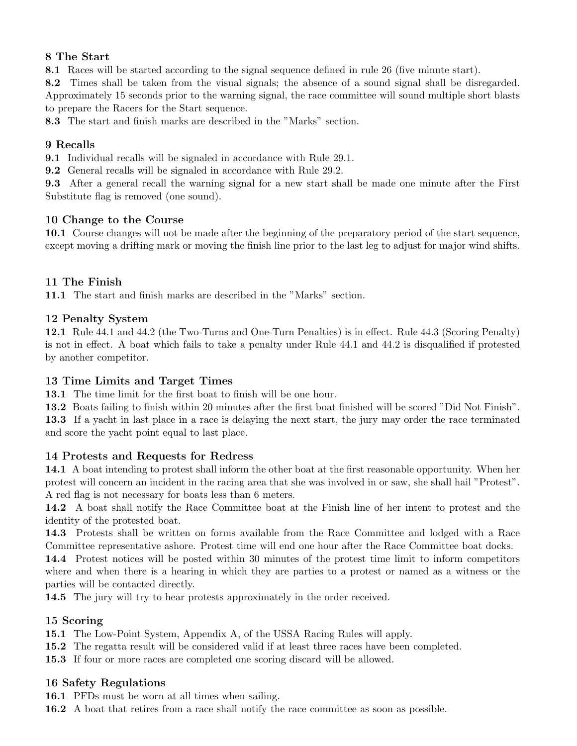# 8 The Start

8.1 Races will be started according to the signal sequence defined in rule 26 (five minute start).

8.2 Times shall be taken from the visual signals; the absence of a sound signal shall be disregarded. Approximately 15 seconds prior to the warning signal, the race committee will sound multiple short blasts to prepare the Racers for the Start sequence.

8.3 The start and finish marks are described in the "Marks" section.

#### 9 Recalls

9.1 Individual recalls will be signaled in accordance with Rule 29.1.

9.2 General recalls will be signaled in accordance with Rule 29.2.

9.3 After a general recall the warning signal for a new start shall be made one minute after the First Substitute flag is removed (one sound).

#### 10 Change to the Course

10.1 Course changes will not be made after the beginning of the preparatory period of the start sequence, except moving a drifting mark or moving the finish line prior to the last leg to adjust for major wind shifts.

## 11 The Finish

11.1 The start and finish marks are described in the "Marks" section.

#### 12 Penalty System

12.1 Rule 44.1 and 44.2 (the Two-Turns and One-Turn Penalties) is in effect. Rule 44.3 (Scoring Penalty) is not in effect. A boat which fails to take a penalty under Rule 44.1 and 44.2 is disqualified if protested by another competitor.

#### 13 Time Limits and Target Times

13.1 The time limit for the first boat to finish will be one hour.

13.2 Boats failing to finish within 20 minutes after the first boat finished will be scored "Did Not Finish". 13.3 If a yacht in last place in a race is delaying the next start, the jury may order the race terminated

and score the yacht point equal to last place.

#### 14 Protests and Requests for Redress

14.1 A boat intending to protest shall inform the other boat at the first reasonable opportunity. When her protest will concern an incident in the racing area that she was involved in or saw, she shall hail "Protest". A red flag is not necessary for boats less than 6 meters.

14.2 A boat shall notify the Race Committee boat at the Finish line of her intent to protest and the identity of the protested boat.

14.3 Protests shall be written on forms available from the Race Committee and lodged with a Race Committee representative ashore. Protest time will end one hour after the Race Committee boat docks.

14.4 Protest notices will be posted within 30 minutes of the protest time limit to inform competitors where and when there is a hearing in which they are parties to a protest or named as a witness or the parties will be contacted directly.

14.5 The jury will try to hear protests approximately in the order received.

#### 15 Scoring

15.1 The Low-Point System, Appendix A, of the USSA Racing Rules will apply.

- 15.2 The regatta result will be considered valid if at least three races have been completed.
- 15.3 If four or more races are completed one scoring discard will be allowed.

#### 16 Safety Regulations

16.1 PFDs must be worn at all times when sailing.

16.2 A boat that retires from a race shall notify the race committee as soon as possible.